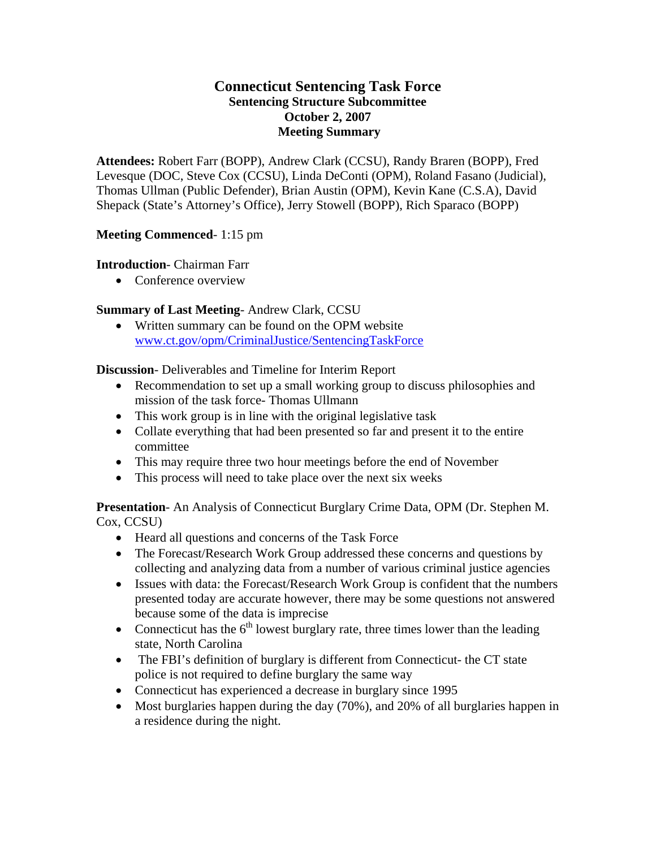### **Connecticut Sentencing Task Force Sentencing Structure Subcommittee October 2, 2007 Meeting Summary**

**Attendees:** Robert Farr (BOPP), Andrew Clark (CCSU), Randy Braren (BOPP), Fred Levesque (DOC, Steve Cox (CCSU), Linda DeConti (OPM), Roland Fasano (Judicial), Thomas Ullman (Public Defender), Brian Austin (OPM), Kevin Kane (C.S.A), David Shepack (State's Attorney's Office), Jerry Stowell (BOPP), Rich Sparaco (BOPP)

#### **Meeting Commenced**- 1:15 pm

#### **Introduction**- Chairman Farr

• Conference overview

#### **Summary of Last Meeting**- Andrew Clark, CCSU

• Written summary can be found on the OPM website [www.ct.gov/opm/CriminalJustice/SentencingTaskForce](http://www.ct.gov/opm/CriminalJustice/SentencingTaskForce)

**Discussion**- Deliverables and Timeline for Interim Report

- Recommendation to set up a small working group to discuss philosophies and mission of the task force- Thomas Ullmann
- This work group is in line with the original legislative task
- Collate everything that had been presented so far and present it to the entire committee
- This may require three two hour meetings before the end of November
- This process will need to take place over the next six weeks

**Presentation**- An Analysis of Connecticut Burglary Crime Data, OPM (Dr. Stephen M. Cox, CCSU)

- Heard all questions and concerns of the Task Force
- The Forecast/Research Work Group addressed these concerns and questions by collecting and analyzing data from a number of various criminal justice agencies
- Issues with data: the Forecast/Research Work Group is confident that the numbers presented today are accurate however, there may be some questions not answered because some of the data is imprecise
- Connecticut has the  $6<sup>th</sup>$  lowest burglary rate, three times lower than the leading state, North Carolina
- The FBI's definition of burglary is different from Connecticut- the CT state police is not required to define burglary the same way
- Connecticut has experienced a decrease in burglary since 1995
- Most burglaries happen during the day (70%), and 20% of all burglaries happen in a residence during the night.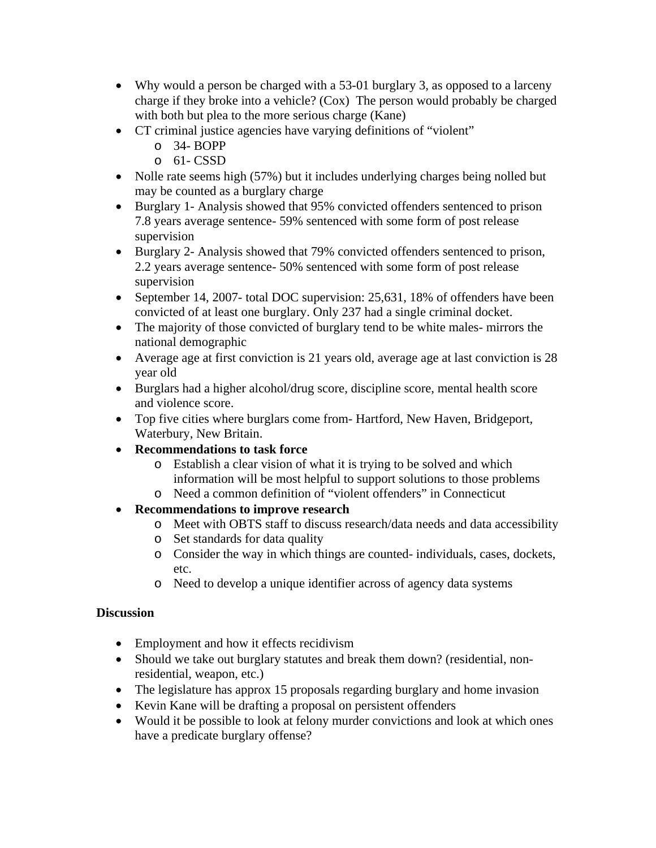- Why would a person be charged with a 53-01 burglary 3, as opposed to a larceny charge if they broke into a vehicle? (Cox) The person would probably be charged with both but plea to the more serious charge (Kane)
- CT criminal justice agencies have varying definitions of "violent"
	- o 34- BOPP
	- $O$  61- CSSD
- Nolle rate seems high (57%) but it includes underlying charges being nolled but may be counted as a burglary charge
- Burglary 1- Analysis showed that 95% convicted offenders sentenced to prison 7.8 years average sentence- 59% sentenced with some form of post release supervision
- Burglary 2- Analysis showed that 79% convicted offenders sentenced to prison, 2.2 years average sentence- 50% sentenced with some form of post release supervision
- September 14, 2007- total DOC supervision: 25,631, 18% of offenders have been convicted of at least one burglary. Only 237 had a single criminal docket.
- The majority of those convicted of burglary tend to be white males- mirrors the national demographic
- Average age at first conviction is 21 years old, average age at last conviction is 28 year old
- Burglars had a higher alcohol/drug score, discipline score, mental health score and violence score.
- Top five cities where burglars come from- Hartford, New Haven, Bridgeport, Waterbury, New Britain.
- **Recommendations to task force** 
	- o Establish a clear vision of what it is trying to be solved and which information will be most helpful to support solutions to those problems
	- o Need a common definition of "violent offenders" in Connecticut
- **Recommendations to improve research** 
	- o Meet with OBTS staff to discuss research/data needs and data accessibility
	- o Set standards for data quality
	- o Consider the way in which things are counted- individuals, cases, dockets, etc.
	- o Need to develop a unique identifier across of agency data systems

#### **Discussion**

- Employment and how it effects recidivism
- Should we take out burglary statutes and break them down? (residential, nonresidential, weapon, etc.)
- The legislature has approx 15 proposals regarding burglary and home invasion
- Kevin Kane will be drafting a proposal on persistent offenders
- Would it be possible to look at felony murder convictions and look at which ones have a predicate burglary offense?